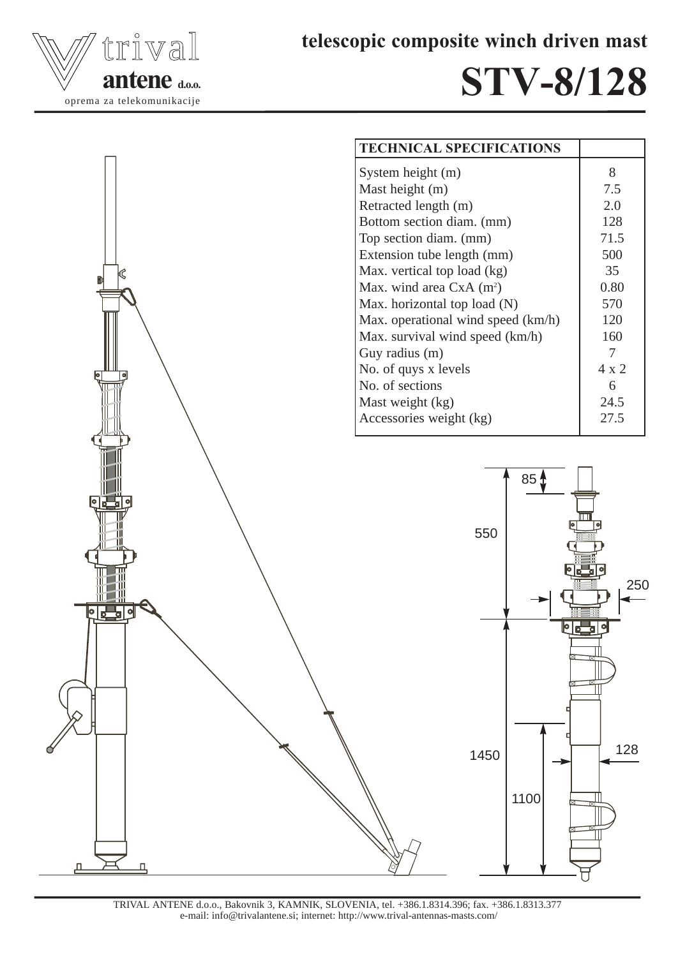



## STV-8/128





TRIVAL ANTENE d.o.o., Bakovnik 3, KAMNIK, SLOVENIA, tel. +386.1.8314.396; fax. +386.1.8313.377 e-mail: info@trivalantene.si; internet: http://www.trival-antennas-masts.com/